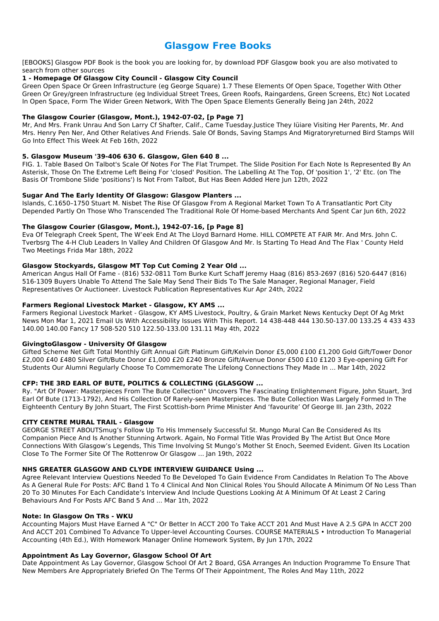# **Glasgow Free Books**

[EBOOKS] Glasgow PDF Book is the book you are looking for, by download PDF Glasgow book you are also motivated to search from other sources

## **1 - Homepage Of Glasgow City Council - Glasgow City Council**

Green Open Space Or Green Infrastructure (eg George Square) 1.7 These Elements Of Open Space, Together With Other Green Or Grey/green Infrastructure (eg Individual Street Trees, Green Roofs, Raingardens, Green Screens, Etc) Not Located In Open Space, Form The Wider Green Network, With The Open Space Elements Generally Being Jan 24th, 2022

## **The Glasgow Courier (Glasgow, Mont.), 1942-07-02, [p Page 7]**

Mr, And Mrs. Frank Unrau And Son Larry Cf Shafter, Calif., Came Tuesday.Justice They Iüiare Visiting Her Parents, Mr. And Mrs. Henry Pen Ner, And Other Relatives And Friends. Sale Of Bonds, Saving Stamps And Migratoryreturned Bird Stamps Will Go Into Effect This Week At Feb 16th, 2022

### **5. Glasgow Museum '39-406 630 6. Glasgow, Glen 640 8 ...**

FIG. 1. Table Based On Talbot's Scale Of Notes For The Flat Trumpet. The Slide Position For Each Note Is Represented By An Asterisk, Those On The Extreme Left Being For 'closed' Position. The Labelling At The Top, Of 'position 1', '2' Etc. (on The Basis Of Trombone Slide 'positions') Is Not From Talbot, But Has Been Added Here Jun 12th, 2022

### **Sugar And The Early Identity Of Glasgow: Glasgow Planters ...**

Islands, C.1650–1750 Stuart M. Nisbet The Rise Of Glasgow From A Regional Market Town To A Transatlantic Port City Depended Partly On Those Who Transcended The Traditional Role Of Home-based Merchants And Spent Car Jun 6th, 2022

### **The Glasgow Courier (Glasgow, Mont.), 1942-07-16, [p Page 8]**

Eva Of Telegraph Creek Spent, The W'eek End At The Lloyd Barnard Home. HILL COMPETE AT FAIR Mr. And Mrs. John C. Tverbsrg The 4-H Club Leaders In Valley And Children Of Glasgow And Mr. Is Starting To Head And The Flax ' County Held Two Meetings Frida Mar 18th, 2022

## **Glasgow Stockyards, Glasgow MT Top Cut Coming 2 Year Old ...**

American Angus Hall Of Fame - (816) 532-0811 Tom Burke Kurt Schaff Jeremy Haag (816) 853-2697 (816) 520-6447 (816) 516-1309 Buyers Unable To Attend The Sale May Send Their Bids To The Sale Manager, Regional Manager, Field Representatives Or Auctioneer. Livestock Publication Representatives Kur Apr 24th, 2022

#### **Farmers Regional Livestock Market - Glasgow, KY AMS ...**

Farmers Regional Livestock Market - Glasgow, KY AMS Livestock, Poultry, & Grain Market News Kentucky Dept Of Ag Mrkt News Mon Mar 1, 2021 Email Us With Accessibility Issues With This Report. 14 438-448 444 130.50-137.00 133.25 4 433 433 140.00 140.00 Fancy 17 508-520 510 122.50-133.00 131.11 May 4th, 2022

## **GivingtoGlasgow - University Of Glasgow**

Gifted Scheme Net Gift Total Monthly Gift Annual Gift Platinum Gift/Kelvin Donor £5,000 £100 £1,200 Gold Gift/Tower Donor £2,000 £40 £480 Silver Gift/Bute Donor £1,000 £20 £240 Bronze Gift/Avenue Donor £500 £10 £120 3 Eye-opening Gift For Students Our Alumni Regularly Choose To Commemorate The Lifelong Connections They Made In ... Mar 14th, 2022

## **CFP: THE 3RD EARL OF BUTE, POLITICS & COLLECTING (GLASGOW ...**

Ry. "Art Of Power: Masterpieces From The Bute Collection" Uncovers The Fascinating Enlightenment Figure, John Stuart, 3rd Earl Of Bute (1713-1792), And His Collection Of Rarely-seen Masterpieces. The Bute Collection Was Largely Formed In The Eighteenth Century By John Stuart, The First Scottish-born Prime Minister And 'favourite' Of George III. Jan 23th, 2022

## **CITY CENTRE MURAL TRAIL - Glasgow**

GEORGE STREET ABOUTSmug's Follow Up To His Immensely Successful St. Mungo Mural Can Be Considered As Its Companion Piece And Is Another Stunning Artwork. Again, No Formal Title Was Provided By The Artist But Once More Connections With Glasgow's Legends, This Time Involving St Mungo's Mother St Enoch, Seemed Evident. Given Its Location Close To The Former Site Of The Rottenrow Or Glasgow ... Jan 19th, 2022

#### **NHS GREATER GLASGOW AND CLYDE INTERVIEW GUIDANCE Using ...**

Agree Relevant Interview Questions Needed To Be Developed To Gain Evidence From Candidates In Relation To The Above As A General Rule For Posts: AFC Band 1 To 4 Clinical And Non Clinical Roles You Should Allocate A Minimum Of No Less Than 20 To 30 Minutes For Each Candidate's Interview And Include Questions Looking At A Minimum Of At Least 2 Caring Behaviours And For Posts AFC Band 5 And ... Mar 1th, 2022

#### **Note: In Glasgow On TRs - WKU**

Accounting Majors Must Have Earned A "C" Or Better In ACCT 200 To Take ACCT 201 And Must Have A 2.5 GPA In ACCT 200 And ACCT 201 Combined To Advance To Upper-level Accounting Courses. COURSE MATERIALS • Introduction To Managerial Accounting (4th Ed.), With Homework Manager Online Homework System, By Jun 17th, 2022

#### **Appointment As Lay Governor, Glasgow School Of Art**

Date Appointment As Lay Governor, Glasgow School Of Art 2 Board, GSA Arranges An Induction Programme To Ensure That New Members Are Appropriately Briefed On The Terms Of Their Appointment, The Roles And May 11th, 2022